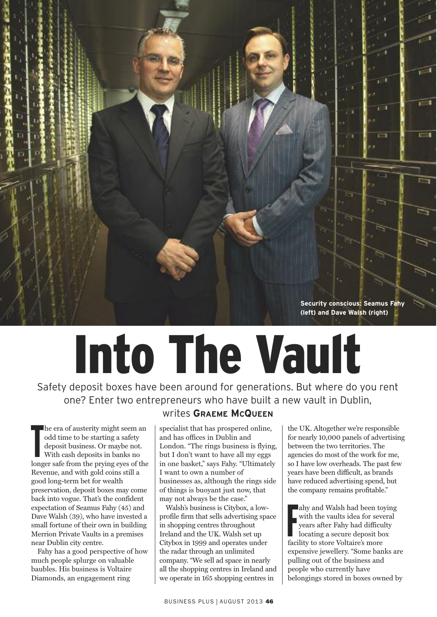

## **Into The Vault**

Safety deposit boxes have been around for generations. But where do you rent one? Enter two entrepreneurs who have built a new vault in Dublin,

The era or austerity might seem an<br>
odd time to be starting a safety<br>
deposit business. Or maybe not.<br>
With cash deposits in banks no<br>
longer safe from the prying eyes of the he era of austerity might seem an odd time to be starting a safety deposit business. Or maybe not. With cash deposits in banks no Revenue, and with gold coins still a good long-term bet for wealth preservation, deposit boxes may come back into vogue. That's the confident expectation of Seamus Fahy (45) and Dave Walsh (39), who have invested a small fortune of their own in building Merrion Private Vaults in a premises near Dublin city centre.

Fahy has a good perspective of how much people splurge on valuable baubles. His business is Voltaire Diamonds, an engagement ring

## writes **GRAEME MCQUEEN**

specialist that has prospered online, and has offices in Dublin and London. "The rings business is flying, but I don't want to have all my eggs in one basket," says Fahy. "Ultimately I want to own a number of businesses as, although the rings side of things is buoyant just now, that may not always be the case."

Walsh's business is Citybox, a lowprofile firm that sells advertising space in shopping centres throughout Ireland and the UK. Walsh set up Citybox in 1999 and operates under the radar through an unlimited company. "We sell ad space in nearly all the shopping centres in Ireland and we operate in 165 shopping centres in

the UK. Altogether we're responsible for nearly 10,000 panels of advertising between the two territories. The agencies do most of the work for me, so I have low overheads. The past few years have been difficult, as brands have reduced advertising spend, but the company remains profitable."

Facility and waish had been to<br>
with the vaults idea for sev<br>
years after Fahy had difficulocating a secure deposit b<br>
facility to store Voltaire's more ahy and Walsh had been toying with the vaults idea for several years after Fahy had difficulty locating a secure deposit box expensive jewellery. "Some banks are pulling out of the business and people who currently have belongings stored in boxes owned by